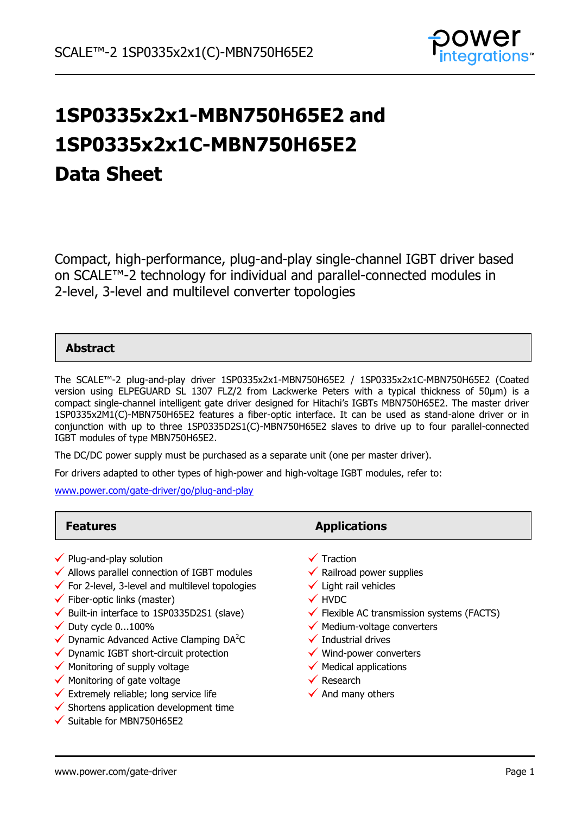

# **1SP0335x2x1-MBN750H65E2 and 1SP0335x2x1C-MBN750H65E2 Data Sheet**

Compact, high-performance, plug-and-play single-channel IGBT driver based on SCALE™-2 technology for individual and parallel-connected modules in 2-level, 3-level and multilevel converter topologies

### **Abstract**

The SCALE™-2 plug-and-play driver 1SP0335x2x1-MBN750H65E2 / 1SP0335x2x1C-MBN750H65E2 (Coated version using ELPEGUARD SL 1307 FLZ/2 from Lackwerke Peters with a typical thickness of 50µm) is a compact single-channel intelligent gate driver designed for Hitachi's IGBTs MBN750H65E2. The master driver 1SP0335x2M1(C)-MBN750H65E2 features a fiber-optic interface. It can be used as stand-alone driver or in conjunction with up to three 1SP0335D2S1(C)-MBN750H65E2 slaves to drive up to four parallel-connected IGBT modules of type MBN750H65E2.

The DC/DC power supply must be purchased as a separate unit (one per master driver).

For drivers adapted to other types of high-power and high-voltage IGBT modules, refer to:

[www.power.com/gate-driver/go/plug-and-play](http://www.power.com/gate-driver/go/plug-and-play)

#### **Features Applications**  $\checkmark$  Plug-and-play solution  $\checkmark$  Allows parallel connection of IGBT modules  $\checkmark$  For 2-level, 3-level and multilevel topologies  $\checkmark$  Fiber-optic links (master)  $\checkmark$  Built-in interface to 1SP0335D2S1 (slave)  $\checkmark$  Duty cycle 0...100%  $\checkmark$  Duty cycle 0...100%<br> $\checkmark$  Dynamic Advanced Active Clamping DA<sup>2</sup>C  $\checkmark$  Dynamic IGBT short-circuit protection  $\checkmark$  Monitoring of supply voltage  $\checkmark$  Traction  $\checkmark$  Railroad power supplies  $\checkmark$  Light rail vehicles **√** HVDC  $\checkmark$  Flexible AC transmission systems (FACTS)  $\checkmark$  Medium-voltage converters  $\checkmark$  Industrial drives  $\checkmark$  Wind-power converters  $\checkmark$  Medical applications

- $\checkmark$  Monitoring of gate voltage
- $\checkmark$  Extremely reliable; long service life
- $\checkmark$  Shortens application development time
- $\checkmark$  Suitable for MBN750H65E2
- $\checkmark$  Research
- $\checkmark$  And many others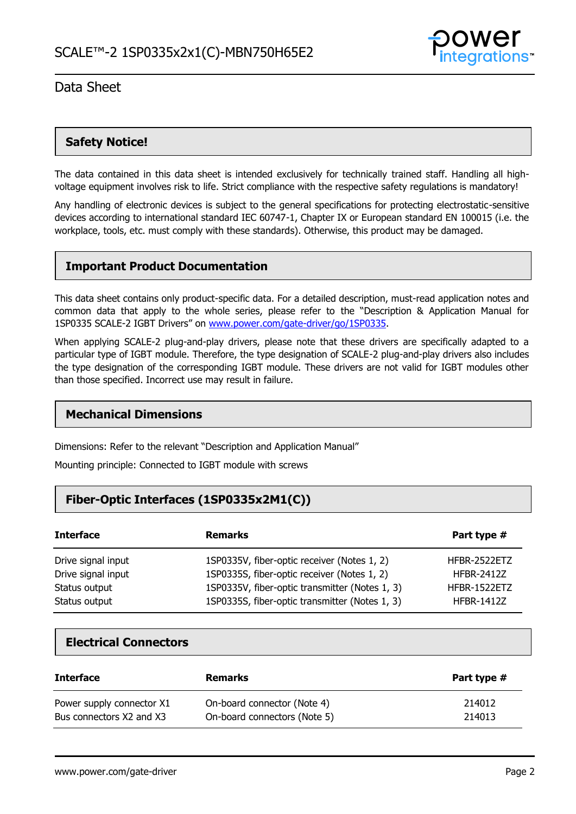

### **Safety Notice!**

The data contained in this data sheet is intended exclusively for technically trained staff. Handling all highvoltage equipment involves risk to life. Strict compliance with the respective safety regulations is mandatory!

Any handling of electronic devices is subject to the general specifications for protecting electrostatic-sensitive devices according to international standard IEC 60747-1, Chapter IX or European standard EN 100015 (i.e. the workplace, tools, etc. must comply with these standards). Otherwise, this product may be damaged.

### **Important Product Documentation**

This data sheet contains only product-specific data. For a detailed description, must-read application notes and common data that apply to the whole series, please refer to the "Description & Application Manual for 1SP0335 SCALE-2 IGBT Drivers" on [www.power.com/gate-driver/go/1SP0335.](http://www.power.com/gate-driver/go/1SP0335)

When applying SCALE-2 plug-and-play drivers, please note that these drivers are specifically adapted to a particular type of IGBT module. Therefore, the type designation of SCALE-2 plug-and-play drivers also includes the type designation of the corresponding IGBT module. These drivers are not valid for IGBT modules other than those specified. Incorrect use may result in failure.

### **Mechanical Dimensions**

Dimensions: Refer to the relevant "Description and Application Manual"

Mounting principle: Connected to IGBT module with screws

### **Fiber-Optic Interfaces (1SP0335x2M1(C))**

| <b>Interface</b>   | <b>Remarks</b>                                 | Part type #       |
|--------------------|------------------------------------------------|-------------------|
| Drive signal input | 1SP0335V, fiber-optic receiver (Notes 1, 2)    | HFBR-2522ETZ      |
| Drive signal input | 1SP0335S, fiber-optic receiver (Notes 1, 2)    | <b>HFBR-2412Z</b> |
| Status output      | 1SP0335V, fiber-optic transmitter (Notes 1, 3) | HFBR-1522ETZ      |
| Status output      | 1SP0335S, fiber-optic transmitter (Notes 1, 3) | <b>HFBR-1412Z</b> |

### **Electrical Connectors**

| <b>Interface</b>          | <b>Remarks</b>               | Part type # |
|---------------------------|------------------------------|-------------|
| Power supply connector X1 | On-board connector (Note 4)  | 214012      |
| Bus connectors X2 and X3  | On-board connectors (Note 5) | 214013      |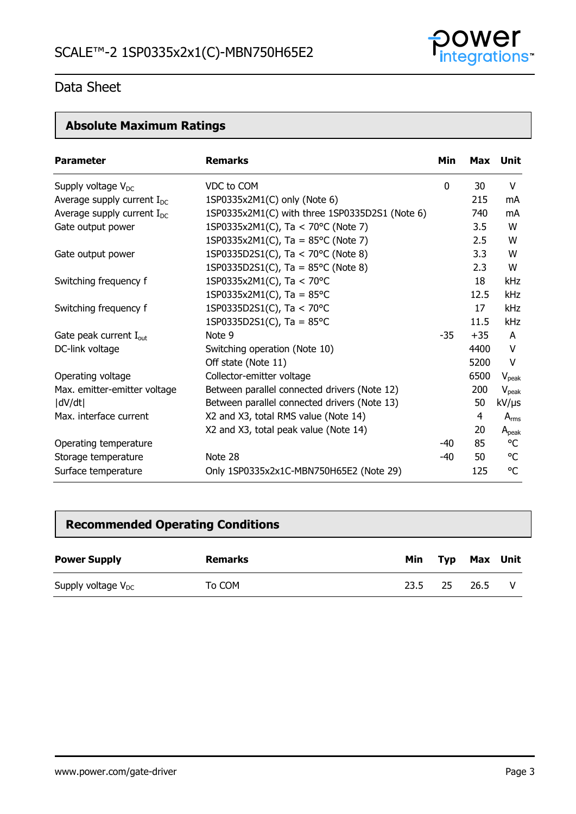

# **Absolute Maximum Ratings**

| <b>Parameter</b>                   | <b>Remarks</b>                                 | Min   |       | Max Unit       |
|------------------------------------|------------------------------------------------|-------|-------|----------------|
| Supply voltage $V_{DC}$            | VDC to COM                                     | 0     | 30    | V              |
| Average supply current $I_{DC}$    | 1SP0335x2M1(C) only (Note 6)                   |       | 215   | mA             |
| Average supply current $I_{DC}$    | 1SP0335x2M1(C) with three 1SP0335D2S1 (Note 6) |       | 740   | mA             |
| Gate output power                  | 1SP0335x2M1(C), Ta < 70°C (Note 7)             |       | 3.5   | W              |
|                                    | 1SP0335x2M1(C), Ta = $85^{\circ}$ C (Note 7)   |       | 2.5   | W              |
| Gate output power                  | 1SP0335D2S1(C), Ta < 70°C (Note 8)             |       | 3.3   | W              |
|                                    | 1SP0335D2S1(C), Ta = $85^{\circ}$ C (Note 8)   |       | 2.3   | W              |
| Switching frequency f              | 1SP0335x2M1(C), Ta < 70°C                      |       | 18    | <b>kHz</b>     |
|                                    | 1SP0335x2M1(C), Ta = $85^{\circ}$ C            |       | 12.5  | kHz            |
| Switching frequency f              | 1SP0335D2S1(C), Ta < 70°C                      |       | 17    | kHz            |
|                                    | 1SP0335D2S1(C), Ta = $85^{\circ}$ C            |       | 11.5  | kHz            |
| Gate peak current I <sub>out</sub> | Note 9                                         | $-35$ | $+35$ | A              |
| DC-link voltage                    | Switching operation (Note 10)                  |       | 4400  | V              |
|                                    | Off state (Note 11)                            |       | 5200  | V              |
| Operating voltage                  | Collector-emitter voltage                      |       | 6500  | $V_{\rm peak}$ |
| Max. emitter-emitter voltage       | Between parallel connected drivers (Note 12)   |       | 200   | $V_{\rm peak}$ |
| dV/dt                              | Between parallel connected drivers (Note 13)   |       | 50    | kV/µs          |
| Max. interface current             | X2 and X3, total RMS value (Note 14)           |       | 4     | $A_{rms}$      |
|                                    | X2 and X3, total peak value (Note 14)          |       | 20    | $A_{peak}$     |
| Operating temperature              |                                                | $-40$ | 85    | °C             |
| Storage temperature                | Note 28                                        | $-40$ | 50    | °C             |
| Surface temperature                | Only 1SP0335x2x1C-MBN750H65E2 (Note 29)        |       | 125   | °C             |

## **Recommended Operating Conditions**

| <b>Power Supply</b>     | <b>Remarks</b> | Min  |     | Typ Max Unit |  |
|-------------------------|----------------|------|-----|--------------|--|
| Supply voltage $V_{DC}$ | To COM         | 23.5 | -25 | 26.5         |  |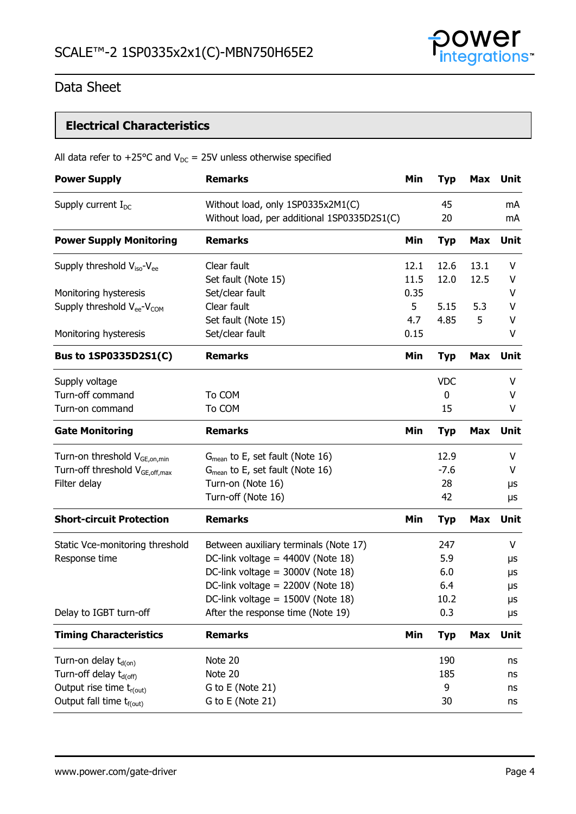

# **Electrical Characteristics**

|  | All data refer to +25°C and $V_{DC}$ = 25V unless otherwise specified |
|--|-----------------------------------------------------------------------|
|--|-----------------------------------------------------------------------|

| <b>Power Supply</b>                                | <b>Remarks</b>                              | Min  | <b>Typ</b> | <b>Max</b> | Unit        |
|----------------------------------------------------|---------------------------------------------|------|------------|------------|-------------|
| Supply current $I_{DC}$                            | Without load, only 1SP0335x2M1(C)           |      | 45         |            | mA          |
|                                                    | Without load, per additional 1SP0335D2S1(C) |      | 20         |            | mA          |
| <b>Power Supply Monitoring</b>                     | <b>Remarks</b>                              | Min  | <b>Typ</b> | <b>Max</b> | Unit        |
| Supply threshold $V_{iso}$ - $V_{ee}$              | Clear fault                                 | 12.1 | 12.6       | 13.1       | V           |
|                                                    | Set fault (Note 15)                         | 11.5 | 12.0       | 12.5       | V           |
| Monitoring hysteresis                              | Set/clear fault                             | 0.35 |            |            | V           |
| Supply threshold V <sub>ee</sub> -V <sub>COM</sub> | Clear fault                                 | 5    | 5.15       | 5.3        | V           |
|                                                    | Set fault (Note 15)                         | 4.7  | 4.85       | 5          | v           |
| Monitoring hysteresis                              | Set/clear fault                             | 0.15 |            |            | V           |
| Bus to 1SP0335D2S1(C)                              | <b>Remarks</b>                              | Min  | <b>Typ</b> | <b>Max</b> | Unit        |
| Supply voltage                                     |                                             |      | <b>VDC</b> |            | V           |
| Turn-off command                                   | To COM                                      |      | 0          |            | V           |
| Turn-on command                                    | To COM                                      |      | 15         |            | V           |
| <b>Gate Monitoring</b>                             | <b>Remarks</b>                              | Min  | <b>Typ</b> | <b>Max</b> | <b>Unit</b> |
| Turn-on threshold V <sub>GE,on,min</sub>           | $G_{mean}$ to E, set fault (Note 16)        |      | 12.9       |            | V           |
| Turn-off threshold V <sub>GE, off, max</sub>       | $G_{mean}$ to E, set fault (Note 16)        |      | $-7.6$     |            | V           |
| Filter delay                                       | Turn-on (Note 16)                           |      | 28         |            | μs          |
|                                                    | Turn-off (Note 16)                          |      | 42         |            | μs          |
| <b>Short-circuit Protection</b>                    | <b>Remarks</b>                              | Min  | <b>Typ</b> | <b>Max</b> | Unit        |
| Static Vce-monitoring threshold                    | Between auxiliary terminals (Note 17)       |      | 247        |            | V           |
| Response time                                      | DC-link voltage = 4400V (Note 18)           |      | 5.9        |            | μs          |
|                                                    | DC-link voltage = 3000V (Note 18)           |      | 6.0        |            | μs          |
|                                                    | DC-link voltage = 2200V (Note 18)           |      | 6.4        |            | μs          |
|                                                    | DC-link voltage = 1500V (Note 18)           |      | 10.2       |            | μs          |
| Delay to IGBT turn-off                             | After the response time (Note 19)           |      | 0.3        |            | μs          |
| <b>Timing Characteristics</b>                      | <b>Remarks</b>                              | Min  | <b>Typ</b> | <b>Max</b> | <b>Unit</b> |
| Turn-on delay t <sub>d(on)</sub>                   | Note 20                                     |      | 190        |            | ns          |
| Turn-off delay t <sub>d(off)</sub>                 | Note 20                                     |      | 185        |            | ns          |
| Output rise time t <sub>r(out)</sub>               | G to E (Note 21)                            |      | 9          |            | ns          |
| Output fall time t <sub>f(out)</sub>               | G to E (Note 21)                            |      | 30         |            | ns          |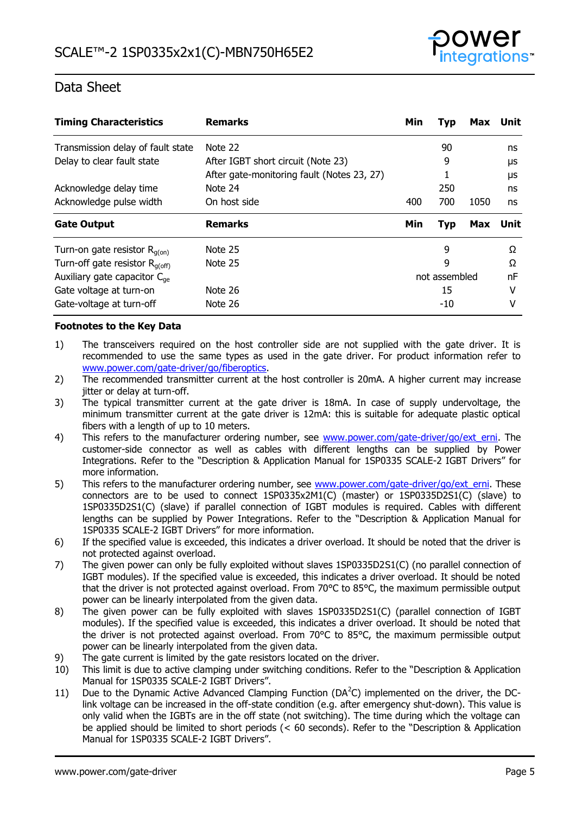

| <b>Timing Characteristics</b>              | <b>Remarks</b>                             | Min | Typ           | <b>Max</b> | Unit |
|--------------------------------------------|--------------------------------------------|-----|---------------|------------|------|
| Transmission delay of fault state          | Note 22                                    |     | 90            |            | ns   |
| Delay to clear fault state                 | After IGBT short circuit (Note 23)         |     | 9             |            | μs   |
|                                            | After gate-monitoring fault (Notes 23, 27) |     |               |            | μs   |
| Acknowledge delay time                     | Note 24                                    |     | 250           |            | ns   |
| Acknowledge pulse width                    | On host side                               | 400 | 700           | 1050       | ns   |
| <b>Gate Output</b>                         | <b>Remarks</b>                             | Min | <b>Typ</b>    | <b>Max</b> | Unit |
| Turn-on gate resistor $R_{q(0n)}$          | Note 25                                    |     | 9             |            | Ω    |
| Turn-off gate resistor $R_{q(\text{off})}$ | Note 25                                    |     | 9             |            | Ω    |
| Auxiliary gate capacitor $C_{\text{ae}}$   |                                            |     | not assembled |            | nF   |
| Gate voltage at turn-on                    | Note 26                                    |     | 15            |            | v    |
| Gate-voltage at turn-off                   | Note 26                                    |     | -10           |            | v    |

### **Footnotes to the Key Data**

- 1) The transceivers required on the host controller side are not supplied with the gate driver. It is recommended to use the same types as used in the gate driver. For product information refer to [www.power.com/gate-driver/go/fiberoptics.](http://www.power.com/gate-driver/go/fiberoptics)
- 2) The recommended transmitter current at the host controller is 20mA. A higher current may increase jitter or delay at turn-off.
- 3) The typical transmitter current at the gate driver is 18mA. In case of supply undervoltage, the minimum transmitter current at the gate driver is 12mA: this is suitable for adequate plastic optical fibers with a length of up to 10 meters.
- 4) This refers to the manufacturer ordering number, see [www.power.com/gate-driver/go/ext\\_erni.](http://www.power.com/gate-driver/go/ext_erni) The customer-side connector as well as cables with different lengths can be supplied by Power Integrations. Refer to the "Description & Application Manual for 1SP0335 SCALE-2 IGBT Drivers" for more information.
- 5) This refers to the manufacturer ordering number, see [www.power.com/gate-driver/go/ext\\_erni.](http://www.power.com/gate-driver/go/ext_erni) These connectors are to be used to connect 1SP0335x2M1(C) (master) or 1SP0335D2S1(C) (slave) to 1SP0335D2S1(C) (slave) if parallel connection of IGBT modules is required. Cables with different lengths can be supplied by Power Integrations. Refer to the "Description & Application Manual for 1SP0335 SCALE-2 IGBT Drivers" for more information.
- 6) If the specified value is exceeded, this indicates a driver overload. It should be noted that the driver is not protected against overload.
- 7) The given power can only be fully exploited without slaves 1SP0335D2S1(C) (no parallel connection of IGBT modules). If the specified value is exceeded, this indicates a driver overload. It should be noted that the driver is not protected against overload. From 70°C to 85°C, the maximum permissible output power can be linearly interpolated from the given data.
- 8) The given power can be fully exploited with slaves 1SP0335D2S1(C) (parallel connection of IGBT modules). If the specified value is exceeded, this indicates a driver overload. It should be noted that the driver is not protected against overload. From 70°C to 85°C, the maximum permissible output power can be linearly interpolated from the given data.
- 9) The gate current is limited by the gate resistors located on the driver.
- 10) This limit is due to active clamping under switching conditions. Refer to the "Description & Application Manual for 1SP0335 SCALE-2 IGBT Drivers".
- 11) Due to the Dynamic Active Advanced Clamping Function ( $DA<sup>2</sup>C$ ) implemented on the driver, the DClink voltage can be increased in the off-state condition (e.g. after emergency shut-down). This value is only valid when the IGBTs are in the off state (not switching). The time during which the voltage can be applied should be limited to short periods (< 60 seconds). Refer to the "Description & Application Manual for 1SP0335 SCALE-2 IGBT Drivers".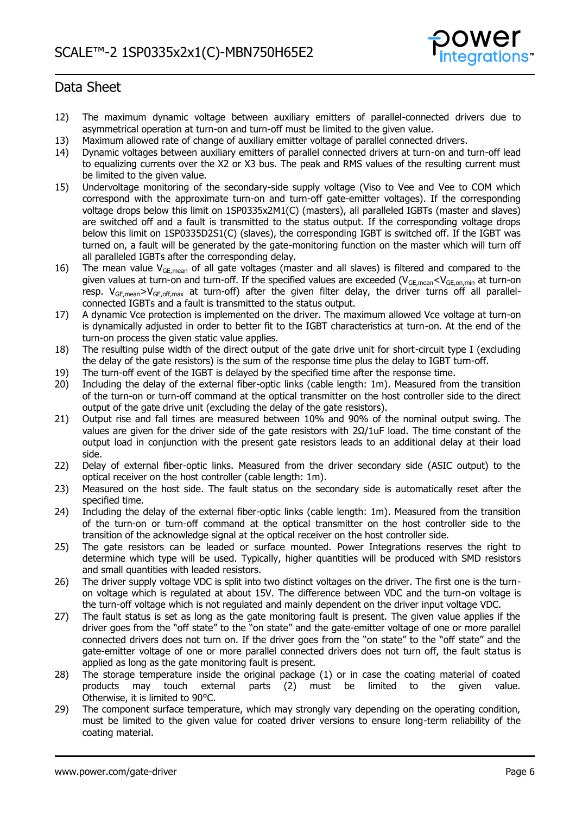

- 12) The maximum dynamic voltage between auxiliary emitters of parallel-connected drivers due to asymmetrical operation at turn-on and turn-off must be limited to the given value.
- 13) Maximum allowed rate of change of auxiliary emitter voltage of parallel connected drivers.
- 14) Dynamic voltages between auxiliary emitters of parallel connected drivers at turn-on and turn-off lead to equalizing currents over the X2 or X3 bus. The peak and RMS values of the resulting current must be limited to the given value.
- 15) Undervoltage monitoring of the secondary-side supply voltage (Viso to Vee and Vee to COM which correspond with the approximate turn-on and turn-off gate-emitter voltages). If the corresponding voltage drops below this limit on 1SP0335x2M1(C) (masters), all paralleled IGBTs (master and slaves) are switched off and a fault is transmitted to the status output. If the corresponding voltage drops below this limit on 1SP0335D2S1(C) (slaves), the corresponding IGBT is switched off. If the IGBT was turned on, a fault will be generated by the gate-monitoring function on the master which will turn off all paralleled IGBTs after the corresponding delay.
- 16) The mean value  $V_{GE,mean}$  of all gate voltages (master and all slaves) is filtered and compared to the given values at turn-on and turn-off. If the specified values are exceeded ( $V_{GE,mean} < V_{GE,on,min}$  at turn-on resp.  $V_{GE,mean} > V_{GE,off,max}$  at turn-off) after the given filter delay, the driver turns off all parallelconnected IGBTs and a fault is transmitted to the status output.
- 17) A dynamic Vce protection is implemented on the driver. The maximum allowed Vce voltage at turn-on is dynamically adjusted in order to better fit to the IGBT characteristics at turn-on. At the end of the turn-on process the given static value applies.
- 18) The resulting pulse width of the direct output of the gate drive unit for short-circuit type I (excluding the delay of the gate resistors) is the sum of the response time plus the delay to IGBT turn-off.
- 19) The turn-off event of the IGBT is delayed by the specified time after the response time.
- 20) Including the delay of the external fiber-optic links (cable length: 1m). Measured from the transition of the turn-on or turn-off command at the optical transmitter on the host controller side to the direct output of the gate drive unit (excluding the delay of the gate resistors).
- 21) Output rise and fall times are measured between 10% and 90% of the nominal output swing. The values are given for the driver side of the gate resistors with 2Ω/1uF load. The time constant of the output load in conjunction with the present gate resistors leads to an additional delay at their load side.
- 22) Delay of external fiber-optic links. Measured from the driver secondary side (ASIC output) to the optical receiver on the host controller (cable length: 1m).
- 23) Measured on the host side. The fault status on the secondary side is automatically reset after the specified time.
- 24) Including the delay of the external fiber-optic links (cable length: 1m). Measured from the transition of the turn-on or turn-off command at the optical transmitter on the host controller side to the transition of the acknowledge signal at the optical receiver on the host controller side.
- 25) The gate resistors can be leaded or surface mounted. Power Integrations reserves the right to determine which type will be used. Typically, higher quantities will be produced with SMD resistors and small quantities with leaded resistors.
- 26) The driver supply voltage VDC is split into two distinct voltages on the driver. The first one is the turnon voltage which is regulated at about 15V. The difference between VDC and the turn-on voltage is the turn-off voltage which is not regulated and mainly dependent on the driver input voltage VDC.
- 27) The fault status is set as long as the gate monitoring fault is present. The given value applies if the driver goes from the "off state" to the "on state" and the gate-emitter voltage of one or more parallel connected drivers does not turn on. If the driver goes from the "on state" to the "off state" and the gate-emitter voltage of one or more parallel connected drivers does not turn off, the fault status is applied as long as the gate monitoring fault is present.
- 28) The storage temperature inside the original package (1) or in case the coating material of coated products may touch external parts (2) must be limited to the given value. Otherwise, it is limited to 90°C.
- 29) The component surface temperature, which may strongly vary depending on the operating condition, must be limited to the given value for coated driver versions to ensure long-term reliability of the coating material.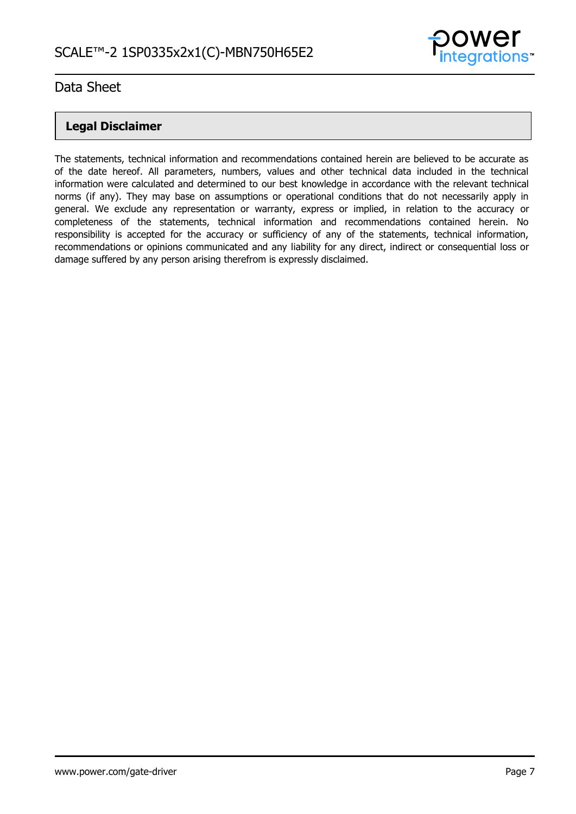

### **Legal Disclaimer**

The statements, technical information and recommendations contained herein are believed to be accurate as of the date hereof. All parameters, numbers, values and other technical data included in the technical information were calculated and determined to our best knowledge in accordance with the relevant technical norms (if any). They may base on assumptions or operational conditions that do not necessarily apply in general. We exclude any representation or warranty, express or implied, in relation to the accuracy or completeness of the statements, technical information and recommendations contained herein. No responsibility is accepted for the accuracy or sufficiency of any of the statements, technical information, recommendations or opinions communicated and any liability for any direct, indirect or consequential loss or damage suffered by any person arising therefrom is expressly disclaimed.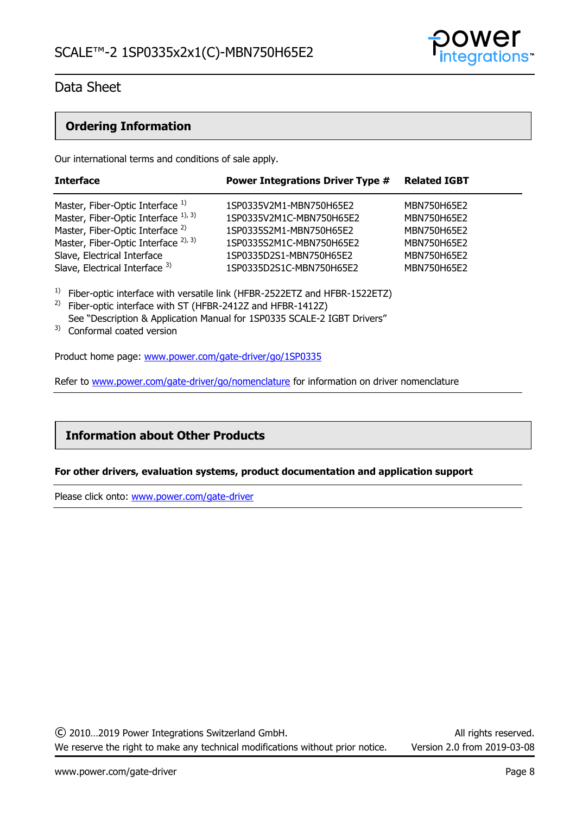

### **Ordering Information**

Our international terms and conditions of sale apply.

| <b>Interface</b>                                | <b>Power Integrations Driver Type #</b> | <b>Related IGBT</b> |
|-------------------------------------------------|-----------------------------------------|---------------------|
| Master, Fiber-Optic Interface 1)                | 1SP0335V2M1-MBN750H65E2                 | MBN750H65E2         |
| Master, Fiber-Optic Interface 1), 3)            | 1SP0335V2M1C-MBN750H65E2                | MBN750H65E2         |
| Master, Fiber-Optic Interface <sup>2)</sup>     | 1SP0335S2M1-MBN750H65E2                 | MBN750H65E2         |
| Master, Fiber-Optic Interface <sup>2), 3)</sup> | 1SP0335S2M1C-MBN750H65E2                | MBN750H65E2         |
| Slave, Electrical Interface                     | 1SP0335D2S1-MBN750H65E2                 | MBN750H65E2         |
| Slave, Electrical Interface 3)                  | 1SP0335D2S1C-MBN750H65E2                | MBN750H65F2         |

<sup>1)</sup> Fiber-optic interface with versatile link (HFBR-2522ETZ and HFBR-1522ETZ)

- <sup>2)</sup> Fiber-optic interface with ST (HFBR-2412Z and HFBR-1412Z) See "Description & Application Manual for 1SP0335 SCALE-2 IGBT Drivers"
- <sup>3)</sup> Conformal coated version

Product home page: [www.power.com/gate-driver/go/1SP0335](http://www.power.com/gate-driver/go/1SP0335) 

Refer to [www.power.com/gate-driver/go/nomenclature](http://www.power.com/gate-driver/go/nomenclature) for information on driver nomenclature

### **Information about Other Products**

### **For other drivers, evaluation systems, product documentation and application support**

Please click onto: [www.power.com/gate-driver](http://www.power.com/gate-driver)